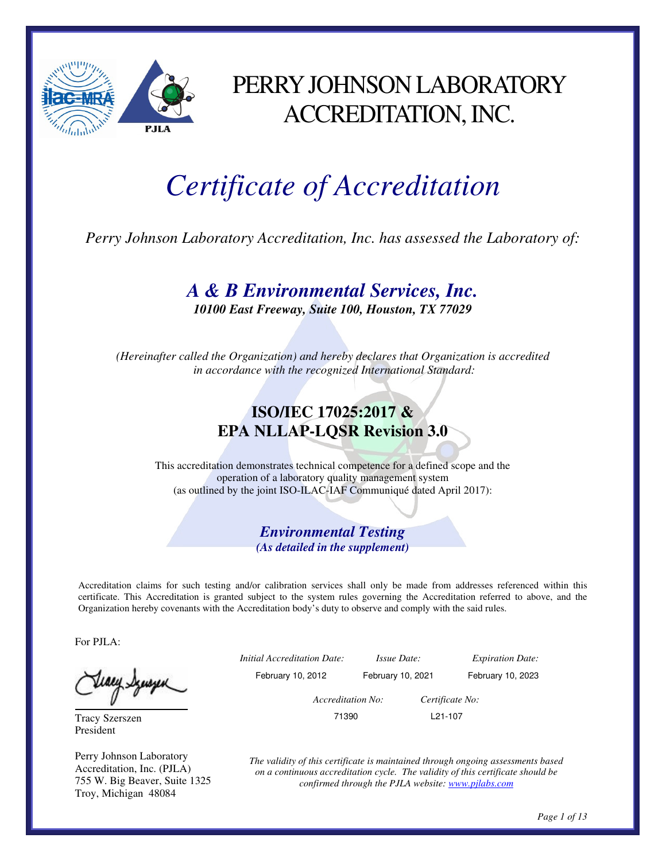

#### PERRY JOHNSON LABORATORY ACCREDITATION, INC.

# *Certificate of Accreditation*

*Perry Johnson Laboratory Accreditation, Inc. has assessed the Laboratory of:* 

*A & B Environmental Services, Inc. 10100 East Freeway, Suite 100, Houston, TX 77029* 

*(Hereinafter called the Organization) and hereby declares that Organization is accredited in accordance with the recognized International Standard:* 

#### **ISO/IEC 17025:2017 & EPA NLLAP-LQSR Revision 3.0**

This accreditation demonstrates technical competence for a defined scope and the operation of a laboratory quality management system (as outlined by the joint ISO-ILAC-IAF Communiqué dated April 2017):

> *Environmental Testing (As detailed in the supplement)*

Accreditation claims for such testing and/or calibration services shall only be made from addresses referenced within this certificate. This Accreditation is granted subject to the system rules governing the Accreditation referred to above, and the Organization hereby covenants with the Accreditation body's duty to observe and comply with the said rules.

For PJLA:

Tracy Szerszen President

Perry Johnson Laboratory Accreditation, Inc. (PJLA) 755 W. Big Beaver, Suite 1325 Troy, Michigan 48084

 *Initial Accreditation Date: Issue Date: Expiration Date:*  February 10, 2012 February 10, 2021 February 10, 2023  *Accreditation No: Certificate No:* 

71390 L21-107

*The validity of this certificate is maintained through ongoing assessments based on a continuous accreditation cycle. The validity of this certificate should be confirmed through the PJLA website: www.pjlabs.com*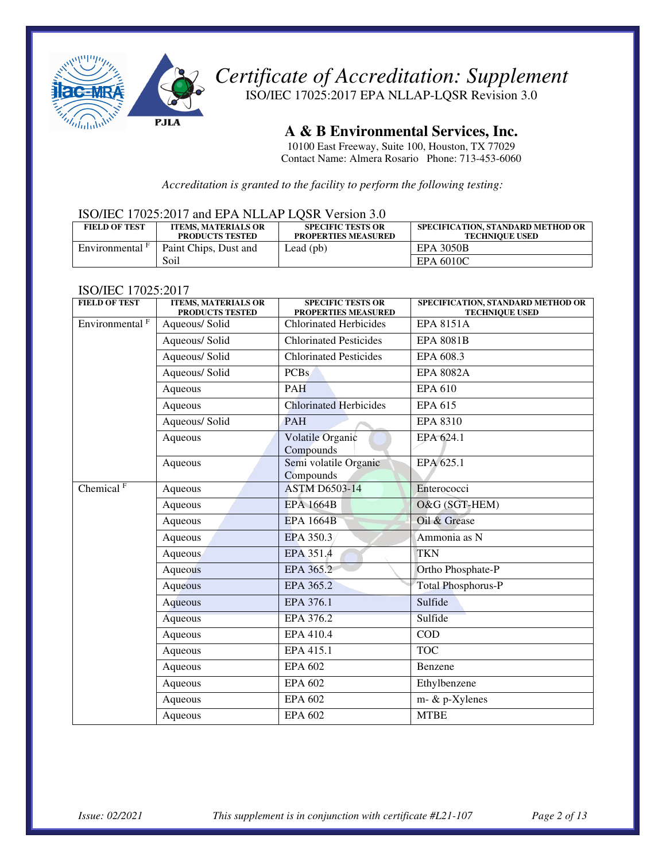

ISO/IEC 17025:2017 EPA NLLAP-LQSR Revision 3.0

**A & B Environmental Services, Inc.** 

10100 East Freeway, Suite 100, Houston, TX 77029 Contact Name: Almera Rosario Phone: 713-453-6060

*Accreditation is granted to the facility to perform the following testing:* 

#### ISO/IEC 17025:2017 and EPA NLLAP LQSR Version 3.0

| <b>FIELD OF TEST</b>       | <b>ITEMS, MATERIALS OR</b><br><b>PRODUCTS TESTED</b> | <b>SPECIFIC TESTS OR</b><br><b>PROPERTIES MEASURED</b> | SPECIFICATION. STANDARD METHOD OR<br><b>TECHNIOUE USED</b> |
|----------------------------|------------------------------------------------------|--------------------------------------------------------|------------------------------------------------------------|
| Environmental <sup>F</sup> | Paint Chips, Dust and                                | Lead $(pb)$                                            | <b>EPA 3050B</b>                                           |
|                            | Soil                                                 |                                                        | EPA 6010C                                                  |

#### ISO/IEC 17025:2017

| <b>FIELD OF TEST</b>       | <b>ITEMS, MATERIALS OR</b><br>PRODUCTS TESTED | <b>SPECIFIC TESTS OR</b><br>PROPERTIES MEASURED | SPECIFICATION, STANDARD METHOD OR<br><b>TECHNIQUE USED</b> |
|----------------------------|-----------------------------------------------|-------------------------------------------------|------------------------------------------------------------|
| Environmental <sup>F</sup> | Aqueous/ Solid                                | <b>Chlorinated Herbicides</b>                   | <b>EPA 8151A</b>                                           |
|                            | Aqueous/ Solid                                | <b>Chlorinated Pesticides</b>                   | <b>EPA 8081B</b>                                           |
|                            | Aqueous/ Solid                                | <b>Chlorinated Pesticides</b>                   | EPA 608.3                                                  |
|                            | Aqueous/ Solid                                | <b>PCBs</b>                                     | <b>EPA 8082A</b>                                           |
|                            | Aqueous                                       | <b>PAH</b>                                      | <b>EPA 610</b>                                             |
|                            | Aqueous                                       | <b>Chlorinated Herbicides</b>                   | <b>EPA 615</b>                                             |
|                            | Aqueous/ Solid                                | <b>PAH</b>                                      | <b>EPA 8310</b>                                            |
|                            | Aqueous                                       | Volatile Organic<br>Compounds                   | EPA 624.1                                                  |
|                            | Aqueous                                       | Semi volatile Organic<br>Compounds              | EPA 625.1                                                  |
| Chemical $F$               | Aqueous                                       | <b>ASTM D6503-14</b>                            | Enterococci                                                |
|                            | Aqueous                                       | <b>EPA 1664B</b>                                | O&G (SGT-HEM)                                              |
|                            | Aqueous                                       | <b>EPA 1664B</b>                                | Oil & Grease                                               |
|                            | Aqueous                                       | EPA 350.3                                       | Ammonia as N                                               |
|                            | Aqueous                                       | EPA 351.4                                       | <b>TKN</b>                                                 |
|                            | Aqueous                                       | EPA 365.2                                       | Ortho Phosphate-P                                          |
|                            | Aqueous                                       | EPA 365.2                                       | <b>Total Phosphorus-P</b>                                  |
|                            | Aqueous                                       | EPA 376.1                                       | Sulfide                                                    |
|                            | Aqueous                                       | EPA 376.2                                       | Sulfide                                                    |
|                            | Aqueous                                       | EPA 410.4                                       | <b>COD</b>                                                 |
|                            | Aqueous                                       | EPA 415.1                                       | <b>TOC</b>                                                 |
|                            | Aqueous                                       | <b>EPA 602</b>                                  | Benzene                                                    |
|                            | Aqueous                                       | <b>EPA 602</b>                                  | Ethylbenzene                                               |
|                            | Aqueous                                       | <b>EPA 602</b>                                  | $m - \& p-X$ ylenes                                        |
|                            | Aqueous                                       | <b>EPA 602</b>                                  | <b>MTBE</b>                                                |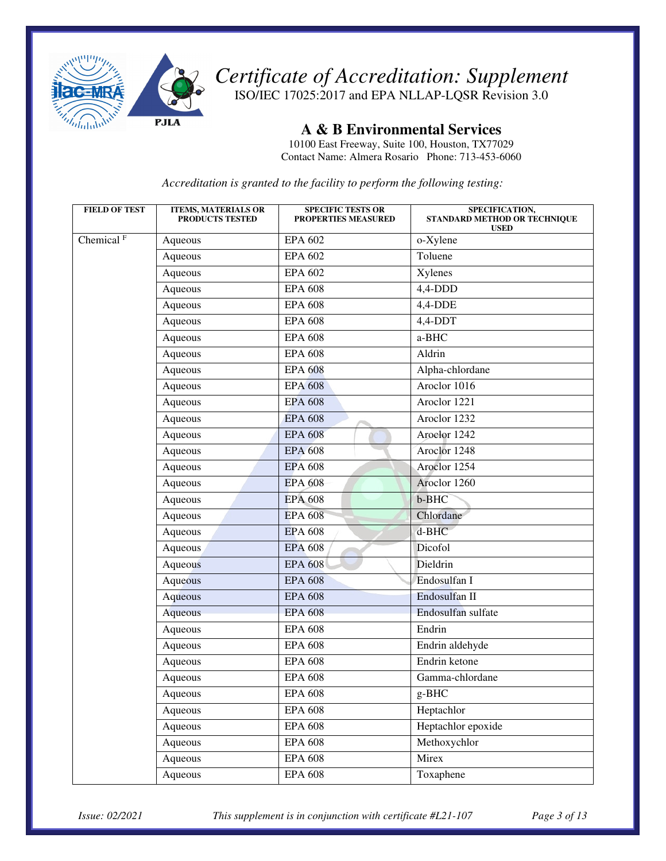

ISO/IEC 17025:2017 and EPA NLLAP-LQSR Revision 3.0

**A & B Environmental Services** 

10100 East Freeway, Suite 100, Houston, TX77029 Contact Name: Almera Rosario Phone: 713-453-6060

*Accreditation is granted to the facility to perform the following testing:* 

| <b>FIELD OF TEST</b>  | <b>ITEMS, MATERIALS OR</b><br>PRODUCTS TESTED | <b>SPECIFIC TESTS OR</b><br><b>PROPERTIES MEASURED</b> | SPECIFICATION,<br>STANDARD METHOD OR TECHNIQUE<br><b>USED</b> |
|-----------------------|-----------------------------------------------|--------------------------------------------------------|---------------------------------------------------------------|
| Chemical <sup>F</sup> | Aqueous                                       | EPA 602                                                | o-Xylene                                                      |
|                       | Aqueous                                       | <b>EPA 602</b>                                         | Toluene                                                       |
|                       | Aqueous                                       | <b>EPA 602</b>                                         | Xylenes                                                       |
|                       | Aqueous                                       | <b>EPA 608</b>                                         | $4,4$ -DDD                                                    |
|                       | Aqueous                                       | <b>EPA 608</b>                                         | $4,4-DDE$                                                     |
|                       | Aqueous                                       | <b>EPA 608</b>                                         | $4,4-DDT$                                                     |
|                       | Aqueous                                       | <b>EPA 608</b>                                         | a-BHC                                                         |
|                       | Aqueous                                       | <b>EPA 608</b>                                         | Aldrin                                                        |
|                       | Aqueous                                       | <b>EPA 608</b>                                         | Alpha-chlordane                                               |
|                       | Aqueous                                       | <b>EPA 608</b>                                         | Aroclor 1016                                                  |
|                       | Aqueous                                       | <b>EPA 608</b>                                         | Aroclor 1221                                                  |
|                       | Aqueous                                       | <b>EPA 608</b>                                         | Aroclor 1232                                                  |
|                       | Aqueous                                       | <b>EPA 608</b>                                         | Aroclor 1242                                                  |
|                       | Aqueous                                       | <b>EPA 608</b>                                         | Aroclor 1248                                                  |
|                       | Aqueous                                       | <b>EPA 608</b>                                         | Aroclor 1254                                                  |
|                       | Aqueous                                       | <b>EPA 608</b>                                         | Aroclor 1260                                                  |
|                       | Aqueous                                       | <b>EPA 608</b>                                         | b-BHC                                                         |
|                       | Aqueous                                       | <b>EPA 608</b>                                         | Chlordane                                                     |
|                       | Aqueous                                       | <b>EPA 608</b>                                         | d-BHC                                                         |
|                       | Aqueous                                       | <b>EPA 608</b>                                         | Dicofol                                                       |
|                       | Aqueous                                       | <b>EPA 608</b>                                         | Dieldrin                                                      |
|                       | Aqueous                                       | <b>EPA 608</b>                                         | Endosulfan I                                                  |
|                       | Aqueous                                       | <b>EPA 608</b>                                         | Endosulfan II                                                 |
|                       | Aqueous                                       | <b>EPA 608</b>                                         | Endosulfan sulfate                                            |
|                       | Aqueous                                       | <b>EPA 608</b>                                         | Endrin                                                        |
|                       | Aqueous                                       | <b>EPA 608</b>                                         | Endrin aldehyde                                               |
|                       | Aqueous                                       | <b>EPA 608</b>                                         | Endrin ketone                                                 |
|                       | Aqueous                                       | <b>EPA 608</b>                                         | Gamma-chlordane                                               |
|                       | Aqueous                                       | <b>EPA 608</b>                                         | $g-BHC$                                                       |
|                       | Aqueous                                       | <b>EPA 608</b>                                         | Heptachlor                                                    |
|                       | Aqueous                                       | <b>EPA 608</b>                                         | Heptachlor epoxide                                            |
|                       | Aqueous                                       | <b>EPA 608</b>                                         | Methoxychlor                                                  |
|                       | Aqueous                                       | <b>EPA 608</b>                                         | Mirex                                                         |
|                       | Aqueous                                       | <b>EPA 608</b>                                         | Toxaphene                                                     |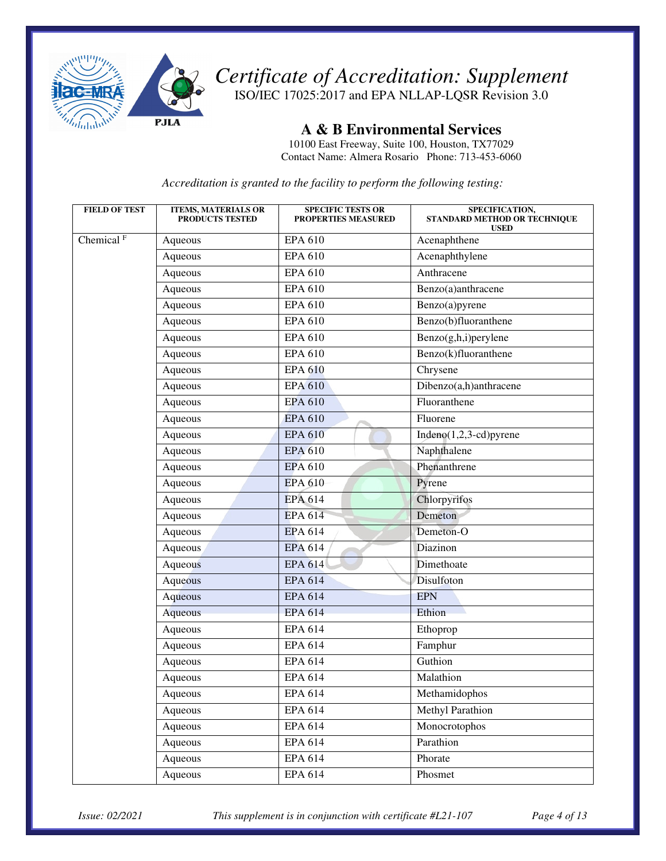

ISO/IEC 17025:2017 and EPA NLLAP-LQSR Revision 3.0

**A & B Environmental Services** 

10100 East Freeway, Suite 100, Houston, TX77029 Contact Name: Almera Rosario Phone: 713-453-6060

*Accreditation is granted to the facility to perform the following testing:* 

| <b>FIELD OF TEST</b>  | <b>ITEMS, MATERIALS OR</b><br><b>PRODUCTS TESTED</b> | <b>SPECIFIC TESTS OR</b><br><b>PROPERTIES MEASURED</b> | SPECIFICATION,<br>STANDARD METHOD OR TECHNIQUE<br><b>USED</b> |
|-----------------------|------------------------------------------------------|--------------------------------------------------------|---------------------------------------------------------------|
| Chemical <sup>F</sup> | Aqueous                                              | <b>EPA 610</b>                                         | Acenaphthene                                                  |
|                       | Aqueous                                              | <b>EPA 610</b>                                         | Acenaphthylene                                                |
|                       | Aqueous                                              | <b>EPA 610</b>                                         | Anthracene                                                    |
|                       | Aqueous                                              | <b>EPA 610</b>                                         | Benzo(a)anthracene                                            |
|                       | Aqueous                                              | <b>EPA 610</b>                                         | Benzo(a)pyrene                                                |
|                       | Aqueous                                              | <b>EPA 610</b>                                         | Benzo(b)fluoranthene                                          |
|                       | Aqueous                                              | <b>EPA 610</b>                                         | Benzo(g,h,i)perylene                                          |
|                       | Aqueous                                              | <b>EPA 610</b>                                         | Benzo(k)fluoranthene                                          |
|                       | Aqueous                                              | <b>EPA 610</b>                                         | Chrysene                                                      |
|                       | Aqueous                                              | <b>EPA 610</b>                                         | Dibenzo(a,h)anthracene                                        |
|                       | Aqueous                                              | <b>EPA 610</b>                                         | Fluoranthene                                                  |
|                       | Aqueous                                              | <b>EPA 610</b>                                         | Fluorene                                                      |
|                       | Aqueous                                              | <b>EPA 610</b>                                         | Indeno $(1,2,3$ -cd)pyrene                                    |
|                       | Aqueous                                              | <b>EPA 610</b>                                         | Naphthalene                                                   |
|                       | Aqueous                                              | <b>EPA 610</b>                                         | Phenanthrene                                                  |
|                       | Aqueous                                              | <b>EPA 610</b>                                         | Pyrene                                                        |
|                       | Aqueous                                              | <b>EPA 614</b>                                         | Chlorpyrifos                                                  |
|                       | Aqueous                                              | <b>EPA 614</b>                                         | Demeton                                                       |
|                       | Aqueous                                              | <b>EPA 614</b>                                         | Demeton-O                                                     |
|                       | Aqueous                                              | <b>EPA 614</b>                                         | Diazinon                                                      |
|                       | Aqueous                                              | <b>EPA 614</b>                                         | Dimethoate                                                    |
|                       | Aqueous                                              | <b>EPA 614</b>                                         | Disulfoton                                                    |
|                       | Aqueous                                              | <b>EPA 614</b>                                         | <b>EPN</b>                                                    |
|                       | Aqueous                                              | <b>EPA 614</b>                                         | Ethion                                                        |
|                       | Aqueous                                              | <b>EPA 614</b>                                         | Ethoprop                                                      |
|                       | Aqueous                                              | <b>EPA 614</b>                                         | Famphur                                                       |
|                       | Aqueous                                              | <b>EPA 614</b>                                         | Guthion                                                       |
|                       | Aqueous                                              | <b>EPA 614</b>                                         | Malathion                                                     |
|                       | Aqueous                                              | EPA 614                                                | Methamidophos                                                 |
|                       | Aqueous                                              | <b>EPA 614</b>                                         | Methyl Parathion                                              |
|                       | Aqueous                                              | <b>EPA 614</b>                                         | Monocrotophos                                                 |
|                       | Aqueous                                              | EPA 614                                                | Parathion                                                     |
|                       | Aqueous                                              | EPA 614                                                | Phorate                                                       |
|                       | Aqueous                                              | <b>EPA 614</b>                                         | Phosmet                                                       |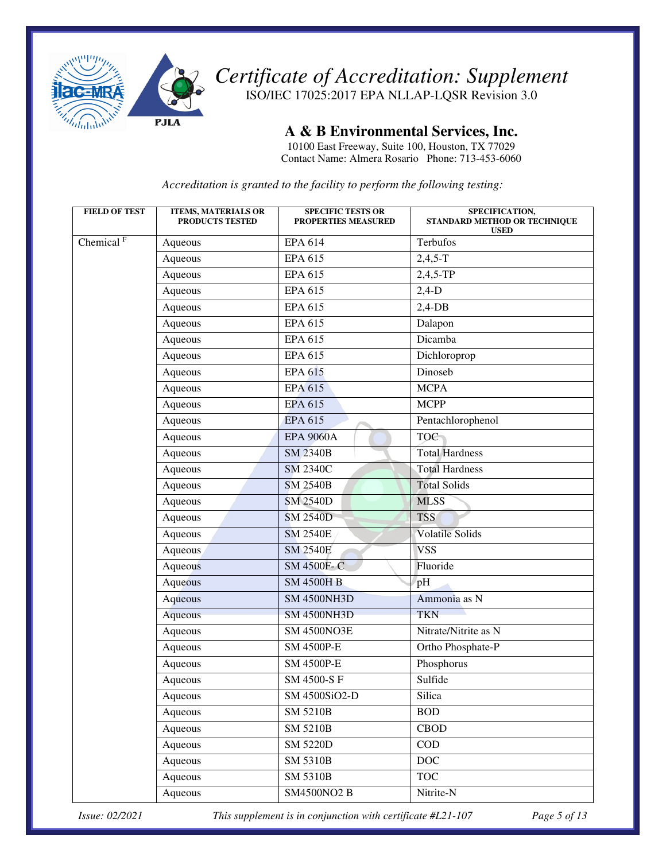

*Certificate of Accreditation: Supplement*  ISO/IEC 17025:2017 EPA NLLAP-LQSR Revision 3.0

**A & B Environmental Services, Inc.** 

10100 East Freeway, Suite 100, Houston, TX 77029 Contact Name: Almera Rosario Phone: 713-453-6060

*Accreditation is granted to the facility to perform the following testing:* 

| <b>FIELD OF TEST</b>  | <b>ITEMS, MATERIALS OR</b><br><b>PRODUCTS TESTED</b> | <b>SPECIFIC TESTS OR</b><br><b>PROPERTIES MEASURED</b> | SPECIFICATION,<br>STANDARD METHOD OR TECHNIQUE<br><b>USED</b> |
|-----------------------|------------------------------------------------------|--------------------------------------------------------|---------------------------------------------------------------|
| Chemical <sup>F</sup> | Aqueous                                              | EPA 614                                                | Terbufos                                                      |
|                       | Aqueous                                              | EPA 615                                                | $2,4,5-T$                                                     |
|                       | Aqueous                                              | <b>EPA 615</b>                                         | $2,4,5-TP$                                                    |
|                       | Aqueous                                              | <b>EPA 615</b>                                         | $2,4-D$                                                       |
|                       | Aqueous                                              | EPA 615                                                | $2,4$ -DB                                                     |
|                       | Aqueous                                              | <b>EPA 615</b>                                         | Dalapon                                                       |
|                       | Aqueous                                              | EPA 615                                                | Dicamba                                                       |
|                       | Aqueous                                              | <b>EPA 615</b>                                         | Dichloroprop                                                  |
|                       | Aqueous                                              | <b>EPA 615</b>                                         | Dinoseb                                                       |
|                       | Aqueous                                              | <b>EPA 615</b>                                         | <b>MCPA</b>                                                   |
|                       | Aqueous                                              | <b>EPA 615</b>                                         | <b>MCPP</b>                                                   |
|                       | Aqueous                                              | <b>EPA 615</b>                                         | Pentachlorophenol                                             |
|                       | Aqueous                                              | <b>EPA 9060A</b>                                       | <b>TOC</b>                                                    |
|                       | Aqueous                                              | <b>SM 2340B</b>                                        | <b>Total Hardness</b>                                         |
|                       | Aqueous                                              | <b>SM 2340C</b>                                        | <b>Total Hardness</b>                                         |
|                       | Aqueous                                              | <b>SM 2540B</b>                                        | <b>Total Solids</b>                                           |
|                       | Aqueous                                              | <b>SM 2540D</b>                                        | <b>MLSS</b>                                                   |
|                       | Aqueous                                              | <b>SM 2540D</b>                                        | <b>TSS</b>                                                    |
|                       | Aqueous                                              | <b>SM 2540E</b>                                        | <b>Volatile Solids</b>                                        |
|                       | Aqueous                                              | <b>SM 2540E</b>                                        | <b>VSS</b>                                                    |
|                       | Aqueous                                              | SM 4500F-C                                             | Fluoride                                                      |
|                       | Aqueous                                              | <b>SM 4500H B</b>                                      | pH                                                            |
|                       | Aqueous                                              | <b>SM 4500NH3D</b>                                     | Ammonia as N                                                  |
|                       | Aqueous                                              | <b>SM 4500NH3D</b>                                     | <b>TKN</b>                                                    |
|                       | Aqueous                                              | <b>SM 4500NO3E</b>                                     | Nitrate/Nitrite as N                                          |
|                       | Aqueous                                              | SM 4500P-E                                             | Ortho Phosphate-P                                             |
|                       | Aqueous                                              | <b>SM 4500P-E</b>                                      | Phosphorus                                                    |
|                       | Aqueous                                              | SM 4500-S F                                            | Sulfide                                                       |
|                       | Aqueous                                              | SM 4500SiO2-D                                          | Silica                                                        |
|                       | Aqueous                                              | SM 5210B                                               | <b>BOD</b>                                                    |
|                       | Aqueous                                              | <b>SM 5210B</b>                                        | <b>CBOD</b>                                                   |
|                       | Aqueous                                              | <b>SM 5220D</b>                                        | $\rm{COD}$                                                    |
|                       | Aqueous                                              | <b>SM 5310B</b>                                        | DOC                                                           |
|                       | Aqueous                                              | <b>SM 5310B</b>                                        | <b>TOC</b>                                                    |
|                       | Aqueous                                              | <b>SM4500NO2 B</b>                                     | Nitrite-N                                                     |

*Issue: 02/2021 This supplement is in conjunction with certificate #L21-107 Page 5 of 13*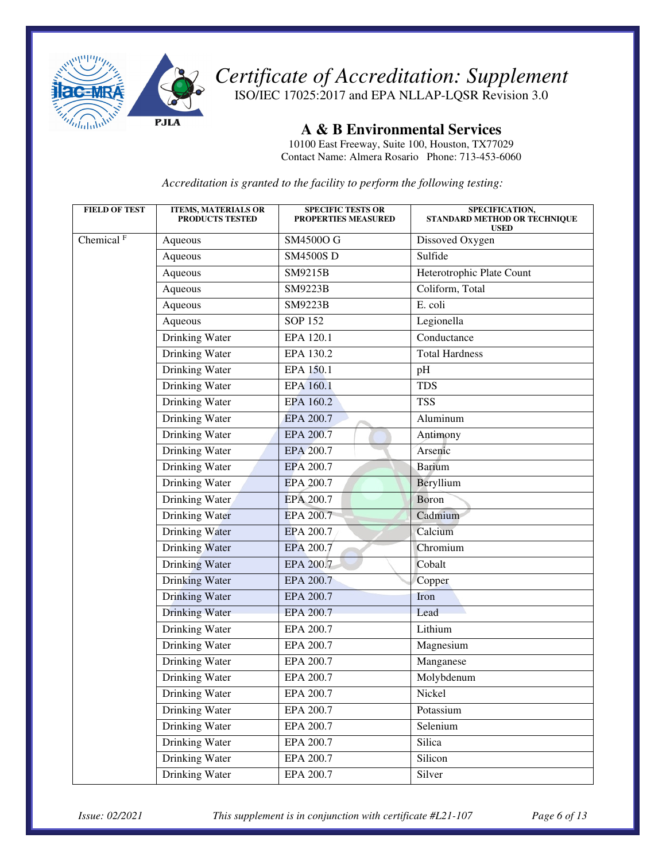

ISO/IEC 17025:2017 and EPA NLLAP-LQSR Revision 3.0

**A & B Environmental Services** 

10100 East Freeway, Suite 100, Houston, TX77029 Contact Name: Almera Rosario Phone: 713-453-6060

*Accreditation is granted to the facility to perform the following testing:* 

| <b>FIELD OF TEST</b>  | <b>ITEMS, MATERIALS OR</b><br><b>PRODUCTS TESTED</b> | <b>SPECIFIC TESTS OR</b><br>PROPERTIES MEASURED | SPECIFICATION,<br>STANDARD METHOD OR TECHNIQUE<br><b>USED</b> |
|-----------------------|------------------------------------------------------|-------------------------------------------------|---------------------------------------------------------------|
| Chemical <sup>F</sup> | Aqueous                                              | SM4500O G                                       | Dissoved Oxygen                                               |
|                       | Aqueous                                              | <b>SM4500SD</b>                                 | Sulfide                                                       |
|                       | Aqueous                                              | SM9215B                                         | Heterotrophic Plate Count                                     |
|                       | Aqueous                                              | SM9223B                                         | Coliform, Total                                               |
|                       | Aqueous                                              | SM9223B                                         | E. coli                                                       |
|                       | Aqueous                                              | <b>SOP 152</b>                                  | Legionella                                                    |
|                       | <b>Drinking Water</b>                                | EPA 120.1                                       | Conductance                                                   |
|                       | <b>Drinking Water</b>                                | EPA 130.2                                       | <b>Total Hardness</b>                                         |
|                       | Drinking Water                                       | EPA 150.1                                       | pH                                                            |
|                       | Drinking Water                                       | EPA 160.1                                       | <b>TDS</b>                                                    |
|                       | Drinking Water                                       | EPA 160.2                                       | <b>TSS</b>                                                    |
|                       | Drinking Water                                       | EPA 200.7                                       | Aluminum                                                      |
|                       | Drinking Water                                       | EPA 200.7                                       | Antimony                                                      |
|                       | Drinking Water                                       | EPA 200.7                                       | Arsenic                                                       |
|                       | <b>Drinking Water</b>                                | <b>EPA 200.7</b>                                | <b>Barium</b>                                                 |
|                       | Drinking Water                                       | EPA 200.7                                       | Beryllium                                                     |
|                       | Drinking Water                                       | EPA 200.7                                       | Boron                                                         |
|                       | Drinking Water                                       | <b>EPA 200.7</b>                                | Cadmium                                                       |
|                       | Drinking Water                                       | EPA 200.7                                       | Calcium                                                       |
|                       | Drinking Water                                       | EPA 200.7                                       | Chromium                                                      |
|                       | Drinking Water                                       | EPA 200.7                                       | Cobalt                                                        |
|                       | Drinking Water                                       | EPA 200.7                                       | Copper                                                        |
|                       | Drinking Water                                       | EPA 200.7                                       | Iron                                                          |
|                       | <b>Drinking Water</b>                                | EPA 200.7                                       | Lead                                                          |
|                       | Drinking Water                                       | EPA 200.7                                       | Lithium                                                       |
|                       | Drinking Water                                       | EPA 200.7                                       | Magnesium                                                     |
|                       | Drinking Water                                       | EPA 200.7                                       | Manganese                                                     |
|                       | Drinking Water                                       | EPA 200.7                                       | Molybdenum                                                    |
|                       | Drinking Water                                       | EPA 200.7                                       | Nickel                                                        |
|                       | Drinking Water                                       | EPA 200.7                                       | Potassium                                                     |
|                       | Drinking Water                                       | EPA 200.7                                       | Selenium                                                      |
|                       | Drinking Water                                       | EPA 200.7                                       | Silica                                                        |
|                       | <b>Drinking Water</b>                                | EPA 200.7                                       | Silicon                                                       |
|                       | <b>Drinking Water</b>                                | EPA 200.7                                       | Silver                                                        |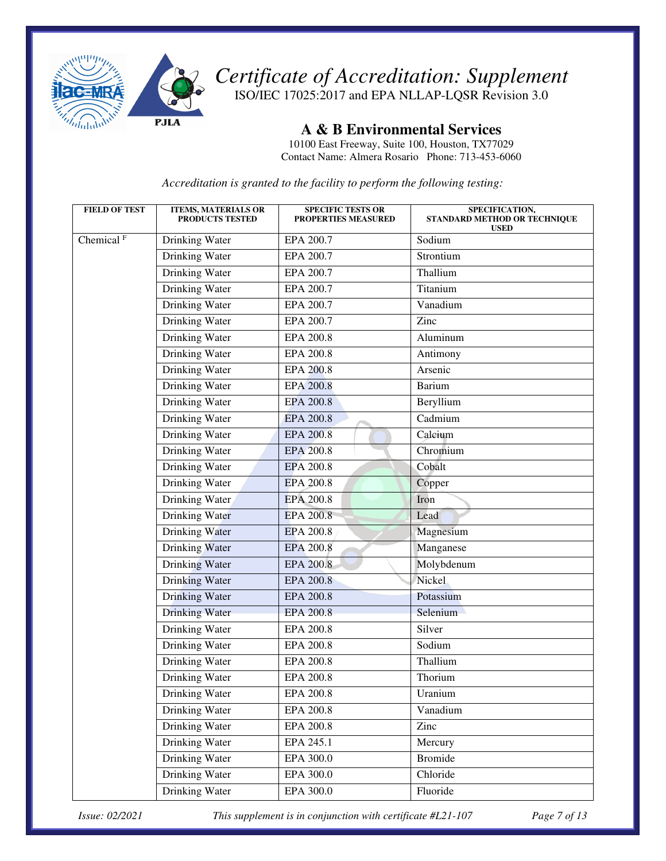

ISO/IEC 17025:2017 and EPA NLLAP-LQSR Revision 3.0

**A & B Environmental Services** 

10100 East Freeway, Suite 100, Houston, TX77029 Contact Name: Almera Rosario Phone: 713-453-6060

*Accreditation is granted to the facility to perform the following testing:* 

| <b>FIELD OF TEST</b>  | <b>ITEMS, MATERIALS OR</b><br><b>PRODUCTS TESTED</b> | <b>SPECIFIC TESTS OR</b><br><b>PROPERTIES MEASURED</b> | SPECIFICATION,<br>STANDARD METHOD OR TECHNIQUE<br><b>USED</b> |
|-----------------------|------------------------------------------------------|--------------------------------------------------------|---------------------------------------------------------------|
| Chemical <sup>F</sup> | Drinking Water                                       | EPA 200.7                                              | Sodium                                                        |
|                       | Drinking Water                                       | EPA 200.7                                              | Strontium                                                     |
|                       | Drinking Water                                       | EPA 200.7                                              | Thallium                                                      |
|                       | Drinking Water                                       | EPA 200.7                                              | Titanium                                                      |
|                       | Drinking Water                                       | EPA 200.7                                              | Vanadium                                                      |
|                       | Drinking Water                                       | EPA 200.7                                              | Zinc                                                          |
|                       | <b>Drinking Water</b>                                | <b>EPA 200.8</b>                                       | Aluminum                                                      |
|                       | Drinking Water                                       | EPA 200.8                                              | Antimony                                                      |
|                       | Drinking Water                                       | <b>EPA 200.8</b>                                       | Arsenic                                                       |
|                       | Drinking Water                                       | <b>EPA 200.8</b>                                       | <b>Barium</b>                                                 |
|                       | Drinking Water                                       | <b>EPA 200.8</b>                                       | Beryllium                                                     |
|                       | Drinking Water                                       | <b>EPA 200.8</b>                                       | Cadmium                                                       |
|                       | Drinking Water                                       | <b>EPA 200.8</b>                                       | Caleium                                                       |
|                       | Drinking Water                                       | <b>EPA 200.8</b>                                       | Chromium                                                      |
|                       | Drinking Water                                       | <b>EPA 200.8</b>                                       | Cobalt                                                        |
|                       | Drinking Water                                       | EPA 200.8                                              | Copper                                                        |
|                       | Drinking Water                                       | <b>EPA 200.8</b>                                       | Iron                                                          |
|                       | Drinking Water                                       | <b>EPA 200.8</b>                                       | Lead                                                          |
|                       | Drinking Water                                       | <b>EPA 200.8</b>                                       | Magnesium                                                     |
|                       | Drinking Water                                       | <b>EPA 200.8</b>                                       | Manganese                                                     |
|                       | Drinking Water                                       | <b>EPA 200.8</b>                                       | Molybdenum                                                    |
|                       | <b>Drinking Water</b>                                | <b>EPA 200.8</b>                                       | Nickel                                                        |
|                       | Drinking Water                                       | <b>EPA 200.8</b>                                       | Potassium                                                     |
|                       | Drinking Water                                       | <b>EPA 200.8</b>                                       | Selenium                                                      |
|                       | Drinking Water                                       | <b>EPA 200.8</b>                                       | Silver                                                        |
|                       | Drinking Water                                       | <b>EPA 200.8</b>                                       | Sodium                                                        |
|                       | Drinking Water                                       | <b>EPA 200.8</b>                                       | Thallium                                                      |
|                       | Drinking Water                                       | EPA 200.8                                              | Thorium                                                       |
|                       | Drinking Water                                       | EPA 200.8                                              | Uranium                                                       |
|                       | Drinking Water                                       | <b>EPA 200.8</b>                                       | Vanadium                                                      |
|                       | Drinking Water                                       | EPA 200.8                                              | Zinc                                                          |
|                       | Drinking Water                                       | EPA 245.1                                              | Mercury                                                       |
|                       | Drinking Water                                       | EPA 300.0                                              | <b>Bromide</b>                                                |
|                       | Drinking Water                                       | EPA 300.0                                              | Chloride                                                      |
|                       | Drinking Water                                       | EPA 300.0                                              | Fluoride                                                      |

*Issue: 02/2021 This supplement is in conjunction with certificate #L21-107 Page 7 of 13*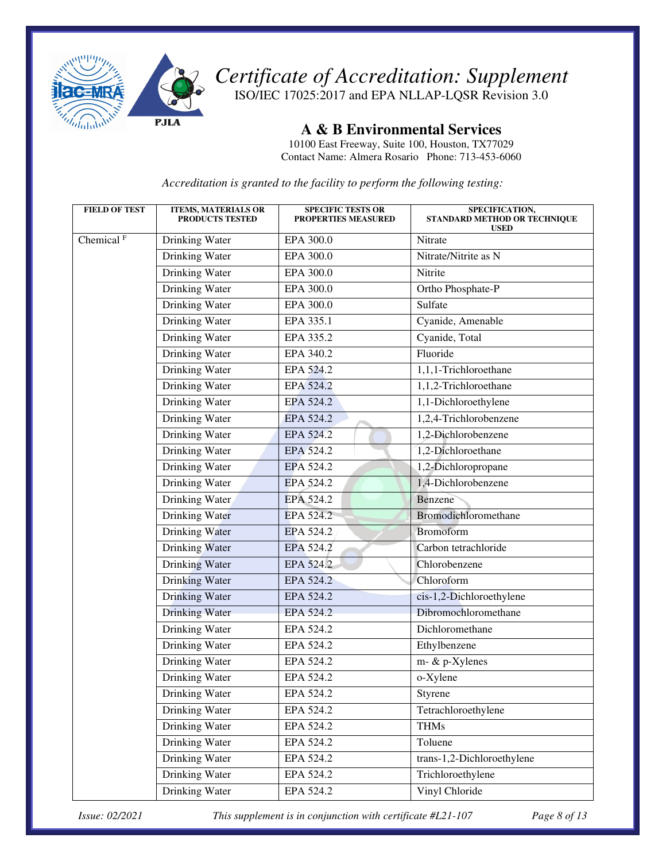

ISO/IEC 17025:2017 and EPA NLLAP-LQSR Revision 3.0

**A & B Environmental Services** 

10100 East Freeway, Suite 100, Houston, TX77029 Contact Name: Almera Rosario Phone: 713-453-6060

*Accreditation is granted to the facility to perform the following testing:* 

| <b>FIELD OF TEST</b>  | <b>ITEMS, MATERIALS OR</b><br><b>PRODUCTS TESTED</b> | <b>SPECIFIC TESTS OR</b><br><b>PROPERTIES MEASURED</b> | SPECIFICATION,<br>STANDARD METHOD OR TECHNIQUE<br><b>USED</b> |
|-----------------------|------------------------------------------------------|--------------------------------------------------------|---------------------------------------------------------------|
| Chemical <sup>F</sup> | Drinking Water                                       | EPA 300.0                                              | Nitrate                                                       |
|                       | Drinking Water                                       | EPA 300.0                                              | Nitrate/Nitrite as N                                          |
|                       | <b>Drinking Water</b>                                | EPA 300.0                                              | Nitrite                                                       |
|                       | Drinking Water                                       | EPA 300.0                                              | Ortho Phosphate-P                                             |
|                       | Drinking Water                                       | EPA 300.0                                              | Sulfate                                                       |
|                       | Drinking Water                                       | EPA 335.1                                              | Cyanide, Amenable                                             |
|                       | <b>Drinking Water</b>                                | EPA 335.2                                              | Cyanide, Total                                                |
|                       | Drinking Water                                       | EPA 340.2                                              | Fluoride                                                      |
|                       | Drinking Water                                       | EPA 524.2                                              | 1,1,1-Trichloroethane                                         |
|                       | Drinking Water                                       | EPA 524.2                                              | 1,1,2-Trichloroethane                                         |
|                       | Drinking Water                                       | EPA 524.2                                              | 1,1-Dichloroethylene                                          |
|                       | Drinking Water                                       | EPA 524.2                                              | 1,2,4-Trichlorobenzene                                        |
|                       | Drinking Water                                       | EPA 524.2                                              | 1,2-Dichlorobenzene                                           |
|                       | Drinking Water                                       | EPA 524.2                                              | 1,2-Dichloroethane                                            |
|                       | Drinking Water                                       | EPA 524.2                                              | 1,2-Dichloropropane                                           |
|                       | Drinking Water                                       | EPA 524.2                                              | 1,4-Dichlorobenzene                                           |
|                       | Drinking Water                                       | EPA 524.2                                              | Benzene                                                       |
|                       | <b>Drinking Water</b>                                | EPA 524.2                                              | Bromodichloromethane                                          |
|                       | Drinking Water                                       | EPA 524.2                                              | <b>Bromoform</b>                                              |
|                       | Drinking Water                                       | EPA 524.2                                              | Carbon tetrachloride                                          |
|                       | Drinking Water                                       | EPA 524.2                                              | Chlorobenzene                                                 |
|                       | <b>Drinking Water</b>                                | EPA 524.2                                              | Chloroform                                                    |
|                       | Drinking Water                                       | EPA 524.2                                              | cis-1,2-Dichloroethylene                                      |
|                       | Drinking Water                                       | EPA 524.2                                              | Dibromochloromethane                                          |
|                       | Drinking Water                                       | EPA 524.2                                              | Dichloromethane                                               |
|                       | Drinking Water                                       | EPA 524.2                                              | Ethylbenzene                                                  |
|                       | Drinking Water                                       | EPA 524.2                                              | m- & p-Xylenes                                                |
|                       | Drinking Water                                       | EPA 524.2                                              | o-Xylene                                                      |
|                       | Drinking Water                                       | EPA 524.2                                              | Styrene                                                       |
|                       | Drinking Water                                       | EPA 524.2                                              | Tetrachloroethylene                                           |
|                       | Drinking Water                                       | EPA 524.2                                              | <b>THMs</b>                                                   |
|                       | Drinking Water                                       | EPA 524.2                                              | Toluene                                                       |
|                       | Drinking Water                                       | EPA 524.2                                              | trans-1,2-Dichloroethylene                                    |
|                       | Drinking Water                                       | EPA 524.2                                              | Trichloroethylene                                             |
|                       | Drinking Water                                       | EPA 524.2                                              | Vinyl Chloride                                                |

*Issue: 02/2021 This supplement is in conjunction with certificate #L21-107 Page 8 of 13*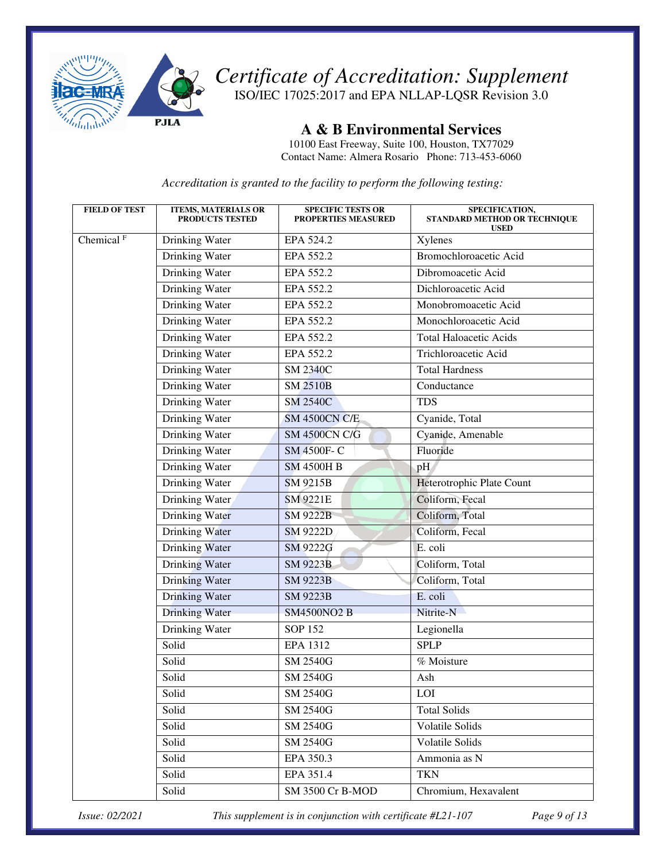

ISO/IEC 17025:2017 and EPA NLLAP-LQSR Revision 3.0

**A & B Environmental Services** 

10100 East Freeway, Suite 100, Houston, TX77029 Contact Name: Almera Rosario Phone: 713-453-6060

*Accreditation is granted to the facility to perform the following testing:* 

| <b>FIELD OF TEST</b>  | <b>ITEMS, MATERIALS OR</b><br><b>PRODUCTS TESTED</b> | <b>SPECIFIC TESTS OR</b><br><b>PROPERTIES MEASURED</b> | SPECIFICATION,<br>STANDARD METHOD OR TECHNIQUE<br><b>USED</b> |
|-----------------------|------------------------------------------------------|--------------------------------------------------------|---------------------------------------------------------------|
| Chemical <sup>F</sup> | Drinking Water                                       | EPA 524.2                                              | Xylenes                                                       |
|                       | Drinking Water                                       | EPA 552.2                                              | Bromochloroacetic Acid                                        |
|                       | Drinking Water                                       | EPA 552.2                                              | Dibromoacetic Acid                                            |
|                       | <b>Drinking Water</b>                                | EPA 552.2                                              | Dichloroacetic Acid                                           |
|                       | Drinking Water                                       | EPA 552.2                                              | Monobromoacetic Acid                                          |
|                       | Drinking Water                                       | EPA 552.2                                              | Monochloroacetic Acid                                         |
|                       | Drinking Water                                       | EPA 552.2                                              | <b>Total Haloacetic Acids</b>                                 |
|                       | Drinking Water                                       | EPA 552.2                                              | Trichloroacetic Acid                                          |
|                       | Drinking Water                                       | <b>SM 2340C</b>                                        | <b>Total Hardness</b>                                         |
|                       | Drinking Water                                       | <b>SM 2510B</b>                                        | Conductance                                                   |
|                       | Drinking Water                                       | <b>SM 2540C</b>                                        | <b>TDS</b>                                                    |
|                       | Drinking Water                                       | <b>SM 4500CN C/E</b>                                   | Cyanide, Total                                                |
|                       | Drinking Water                                       | <b>SM 4500CN C/G</b>                                   | Cyanide, Amenable                                             |
|                       | Drinking Water                                       | SM 4500F-C                                             | Fluoride                                                      |
|                       | Drinking Water                                       | <b>SM 4500H B</b>                                      | pH                                                            |
|                       | Drinking Water                                       | SM 9215B                                               | Heterotrophic Plate Count                                     |
|                       | Drinking Water                                       | <b>SM 9221E</b>                                        | Coliform, Fecal                                               |
|                       | Drinking Water                                       | <b>SM 9222B</b>                                        | Coliform, Total                                               |
|                       | Drinking Water                                       | <b>SM 9222D</b>                                        | Coliform, Fecal                                               |
|                       | Drinking Water                                       | SM 9222G                                               | E. coli                                                       |
|                       | Drinking Water                                       | <b>SM 9223B</b>                                        | Coliform, Total                                               |
|                       | <b>Drinking Water</b>                                | <b>SM 9223B</b>                                        | Coliform, Total                                               |
|                       | Drinking Water                                       | <b>SM 9223B</b>                                        | E. coli                                                       |
|                       | <b>Drinking Water</b>                                | <b>SM4500NO2 B</b>                                     | Nitrite-N                                                     |
|                       | Drinking Water                                       | <b>SOP 152</b>                                         | Legionella                                                    |
|                       | Solid                                                | <b>EPA 1312</b>                                        | <b>SPLP</b>                                                   |
|                       | Solid                                                | <b>SM 2540G</b>                                        | % Moisture                                                    |
|                       | Solid                                                | <b>SM 2540G</b>                                        | Ash                                                           |
|                       | Solid                                                | <b>SM 2540G</b>                                        | LOI                                                           |
|                       | Solid                                                | <b>SM 2540G</b>                                        | <b>Total Solids</b>                                           |
|                       | Solid                                                | <b>SM 2540G</b>                                        | Volatile Solids                                               |
|                       | Solid                                                | <b>SM 2540G</b>                                        | Volatile Solids                                               |
|                       | Solid                                                | EPA 350.3                                              | Ammonia as N                                                  |
|                       | Solid                                                | EPA 351.4                                              | <b>TKN</b>                                                    |
|                       | Solid                                                | SM 3500 Cr B-MOD                                       | Chromium, Hexavalent                                          |

*Issue: 02/2021 This supplement is in conjunction with certificate #L21-107 Page 9 of 13*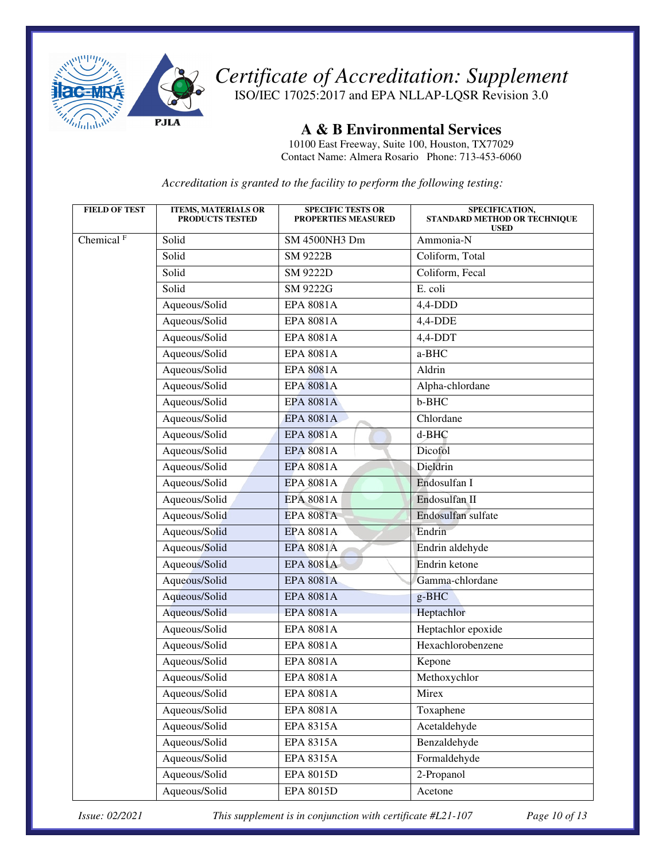

ISO/IEC 17025:2017 and EPA NLLAP-LQSR Revision 3.0

**A & B Environmental Services** 

10100 East Freeway, Suite 100, Houston, TX77029 Contact Name: Almera Rosario Phone: 713-453-6060

*Accreditation is granted to the facility to perform the following testing:* 

| <b>FIELD OF TEST</b>    | <b>ITEMS, MATERIALS OR</b><br><b>PRODUCTS TESTED</b> | <b>SPECIFIC TESTS OR</b><br><b>PROPERTIES MEASURED</b> | SPECIFICATION,<br>STANDARD METHOD OR TECHNIQUE<br><b>USED</b> |
|-------------------------|------------------------------------------------------|--------------------------------------------------------|---------------------------------------------------------------|
| Chemical $\overline{F}$ | Solid                                                | SM 4500NH3 Dm                                          | Ammonia-N                                                     |
|                         | Solid                                                | <b>SM 9222B</b>                                        | Coliform, Total                                               |
|                         | Solid                                                | <b>SM 9222D</b>                                        | Coliform, Fecal                                               |
|                         | Solid                                                | SM 9222G                                               | E. coli                                                       |
|                         | Aqueous/Solid                                        | <b>EPA 8081A</b>                                       | $4,4$ -DDD                                                    |
|                         | Aqueous/Solid                                        | <b>EPA 8081A</b>                                       | $4,4-DDE$                                                     |
|                         | Aqueous/Solid                                        | <b>EPA 8081A</b>                                       | 4,4-DDT                                                       |
|                         | Aqueous/Solid                                        | <b>EPA 8081A</b>                                       | a-BHC                                                         |
|                         | Aqueous/Solid                                        | <b>EPA 8081A</b>                                       | Aldrin                                                        |
|                         | Aqueous/Solid                                        | <b>EPA 8081A</b>                                       | Alpha-chlordane                                               |
|                         | Aqueous/Solid                                        | <b>EPA 8081A</b>                                       | b-BHC                                                         |
|                         | Aqueous/Solid                                        | <b>EPA 8081A</b>                                       | Chlordane                                                     |
|                         | Aqueous/Solid                                        | <b>EPA 8081A</b>                                       | d-BHC                                                         |
|                         | Aqueous/Solid                                        | <b>EPA 8081A</b>                                       | Dicofol                                                       |
|                         | Aqueous/Solid                                        | <b>EPA 8081A</b>                                       | Dieldrin                                                      |
|                         | Aqueous/Solid                                        | <b>EPA 8081A</b>                                       | Endosulfan I                                                  |
|                         | Aqueous/Solid                                        | <b>EPA 8081A</b>                                       | Endosulfan II                                                 |
|                         | Aqueous/Solid                                        | <b>EPA 8081A</b>                                       | Endosulfan sulfate                                            |
|                         | Aqueous/Solid                                        | <b>EPA 8081A</b>                                       | Endrin                                                        |
|                         | Aqueous/Solid                                        | <b>EPA 8081A</b>                                       | Endrin aldehyde                                               |
|                         | Aqueous/Solid                                        | <b>EPA 8081A</b>                                       | Endrin ketone                                                 |
|                         | Aqueous/Solid                                        | <b>EPA 8081A</b>                                       | Gamma-chlordane                                               |
|                         | Aqueous/Solid                                        | <b>EPA 8081A</b>                                       | g-BHC                                                         |
|                         | Aqueous/Solid                                        | <b>EPA 8081A</b>                                       | Heptachlor                                                    |
|                         | Aqueous/Solid                                        | <b>EPA 8081A</b>                                       | Heptachlor epoxide                                            |
|                         | Aqueous/Solid                                        | <b>EPA 8081A</b>                                       | Hexachlorobenzene                                             |
|                         | Aqueous/Solid                                        | <b>EPA 8081A</b>                                       | Kepone                                                        |
|                         | Aqueous/Solid                                        | <b>EPA 8081A</b>                                       | Methoxychlor                                                  |
|                         | Aqueous/Solid                                        | EPA 8081A                                              | Mirex                                                         |
|                         | Aqueous/Solid                                        | <b>EPA 8081A</b>                                       | Toxaphene                                                     |
|                         | Aqueous/Solid                                        | EPA 8315A                                              | Acetaldehyde                                                  |
|                         | Aqueous/Solid                                        | <b>EPA 8315A</b>                                       | Benzaldehyde                                                  |
|                         | Aqueous/Solid                                        | EPA 8315A                                              | Formaldehyde                                                  |
|                         | Aqueous/Solid                                        | EPA 8015D                                              | 2-Propanol                                                    |
|                         | Aqueous/Solid                                        | EPA 8015D                                              | Acetone                                                       |

*Issue: 02/2021 This supplement is in conjunction with certificate #L21-107 Page 10 of 13*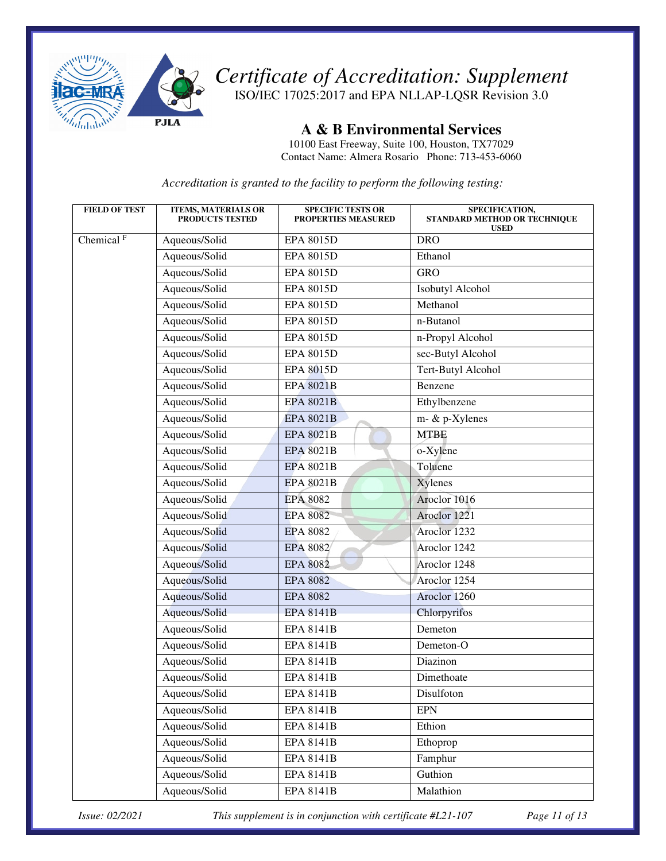

ISO/IEC 17025:2017 and EPA NLLAP-LQSR Revision 3.0

**A & B Environmental Services** 

10100 East Freeway, Suite 100, Houston, TX77029 Contact Name: Almera Rosario Phone: 713-453-6060

*Accreditation is granted to the facility to perform the following testing:* 

| <b>FIELD OF TEST</b>  | <b>ITEMS, MATERIALS OR</b><br><b>PRODUCTS TESTED</b> | <b>SPECIFIC TESTS OR</b><br><b>PROPERTIES MEASURED</b> | SPECIFICATION,<br>STANDARD METHOD OR TECHNIQUE<br><b>USED</b> |
|-----------------------|------------------------------------------------------|--------------------------------------------------------|---------------------------------------------------------------|
| Chemical <sup>F</sup> | Aqueous/Solid                                        | EPA 8015D                                              | <b>DRO</b>                                                    |
|                       | Aqueous/Solid                                        | <b>EPA 8015D</b>                                       | Ethanol                                                       |
|                       | Aqueous/Solid                                        | <b>EPA 8015D</b>                                       | <b>GRO</b>                                                    |
|                       | Aqueous/Solid                                        | <b>EPA 8015D</b>                                       | Isobutyl Alcohol                                              |
|                       | Aqueous/Solid                                        | <b>EPA 8015D</b>                                       | Methanol                                                      |
|                       | Aqueous/Solid                                        | <b>EPA 8015D</b>                                       | n-Butanol                                                     |
|                       | Aqueous/Solid                                        | <b>EPA 8015D</b>                                       | n-Propyl Alcohol                                              |
|                       | Aqueous/Solid                                        | <b>EPA 8015D</b>                                       | sec-Butyl Alcohol                                             |
|                       | Aqueous/Solid                                        | <b>EPA 8015D</b>                                       | Tert-Butyl Alcohol                                            |
|                       | Aqueous/Solid                                        | <b>EPA 8021B</b>                                       | Benzene                                                       |
|                       | Aqueous/Solid                                        | <b>EPA 8021B</b>                                       | Ethylbenzene                                                  |
|                       | Aqueous/Solid                                        | <b>EPA 8021B</b>                                       | m- & p-Xylenes                                                |
|                       | Aqueous/Solid                                        | <b>EPA 8021B</b>                                       | <b>MTBE</b>                                                   |
|                       | Aqueous/Solid                                        | <b>EPA 8021B</b>                                       | o-Xylene                                                      |
|                       | Aqueous/Solid                                        | <b>EPA 8021B</b>                                       | Toluene                                                       |
|                       | Aqueous/Solid                                        | <b>EPA 8021B</b>                                       | Xylenes                                                       |
|                       | Aqueous/Solid                                        | <b>EPA 8082</b>                                        | Aroclor 1016                                                  |
|                       | Aqueous/Solid                                        | <b>EPA 8082</b>                                        | Aroclor 1221                                                  |
|                       | Aqueous/Solid                                        | <b>EPA 8082</b>                                        | Aroclor 1232                                                  |
|                       | Aqueous/Solid                                        | <b>EPA 8082</b>                                        | Aroclor 1242                                                  |
|                       | Aqueous/Solid                                        | <b>EPA 8082</b>                                        | Aroclor 1248                                                  |
|                       | Aqueous/Solid                                        | <b>EPA 8082</b>                                        | Aroclor 1254                                                  |
|                       | Aqueous/Solid                                        | <b>EPA 8082</b>                                        | Aroclor 1260                                                  |
|                       | Aqueous/Solid                                        | <b>EPA 8141B</b>                                       | Chlorpyrifos                                                  |
|                       | Aqueous/Solid                                        | <b>EPA 8141B</b>                                       | Demeton                                                       |
|                       | Aqueous/Solid                                        | <b>EPA 8141B</b>                                       | Demeton-O                                                     |
|                       | Aqueous/Solid                                        | <b>EPA 8141B</b>                                       | Diazinon                                                      |
|                       | Aqueous/Solid                                        | <b>EPA 8141B</b>                                       | Dimethoate                                                    |
|                       | Aqueous/Solid                                        | <b>EPA 8141B</b>                                       | Disulfoton                                                    |
|                       | Aqueous/Solid                                        | <b>EPA 8141B</b>                                       | <b>EPN</b>                                                    |
|                       | Aqueous/Solid                                        | <b>EPA 8141B</b>                                       | Ethion                                                        |
|                       | Aqueous/Solid                                        | <b>EPA 8141B</b>                                       | Ethoprop                                                      |
|                       | Aqueous/Solid                                        | <b>EPA 8141B</b>                                       | Famphur                                                       |
|                       | Aqueous/Solid                                        | <b>EPA 8141B</b>                                       | Guthion                                                       |
|                       | Aqueous/Solid                                        | <b>EPA 8141B</b>                                       | Malathion                                                     |

*Issue: 02/2021 This supplement is in conjunction with certificate #L21-107 Page 11 of 13*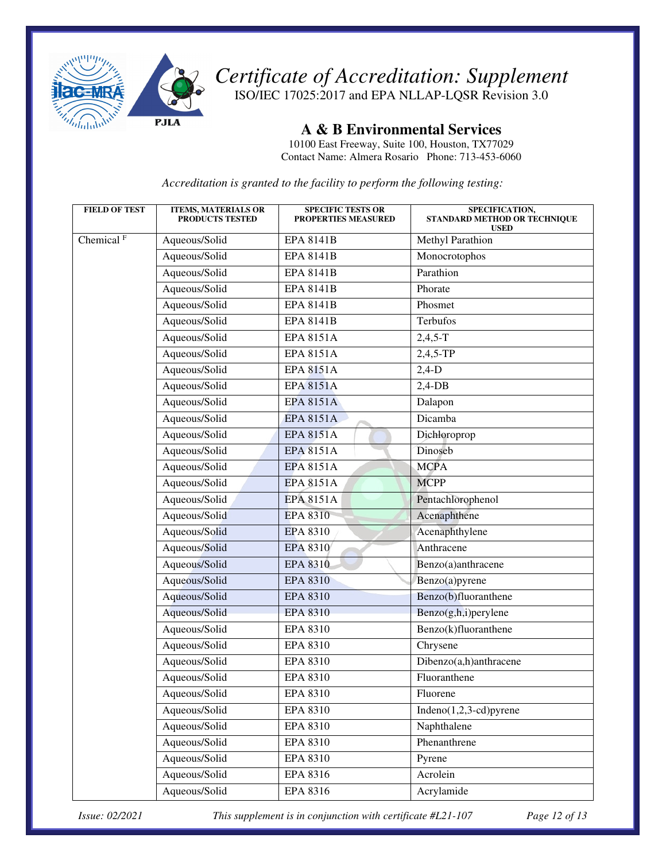

ISO/IEC 17025:2017 and EPA NLLAP-LQSR Revision 3.0

**A & B Environmental Services** 

10100 East Freeway, Suite 100, Houston, TX77029 Contact Name: Almera Rosario Phone: 713-453-6060

*Accreditation is granted to the facility to perform the following testing:* 

| <b>FIELD OF TEST</b>    | <b>ITEMS, MATERIALS OR</b><br><b>PRODUCTS TESTED</b> | <b>SPECIFIC TESTS OR</b><br><b>PROPERTIES MEASURED</b> | SPECIFICATION,<br>STANDARD METHOD OR TECHNIQUE<br><b>USED</b> |
|-------------------------|------------------------------------------------------|--------------------------------------------------------|---------------------------------------------------------------|
| Chemical $\overline{F}$ | Aqueous/Solid                                        | <b>EPA 8141B</b>                                       | Methyl Parathion                                              |
|                         | Aqueous/Solid                                        | <b>EPA 8141B</b>                                       | Monocrotophos                                                 |
|                         | Aqueous/Solid                                        | <b>EPA 8141B</b>                                       | Parathion                                                     |
|                         | Aqueous/Solid                                        | <b>EPA 8141B</b>                                       | Phorate                                                       |
|                         | Aqueous/Solid                                        | <b>EPA 8141B</b>                                       | Phosmet                                                       |
|                         | Aqueous/Solid                                        | <b>EPA 8141B</b>                                       | Terbufos                                                      |
|                         | Aqueous/Solid                                        | <b>EPA 8151A</b>                                       | $2,4,5-T$                                                     |
|                         | Aqueous/Solid                                        | <b>EPA 8151A</b>                                       | 2,4,5-TP                                                      |
|                         | Aqueous/Solid                                        | <b>EPA 8151A</b>                                       | $2,4-D$                                                       |
|                         | Aqueous/Solid                                        | <b>EPA 8151A</b>                                       | $2,4$ -DB                                                     |
|                         | Aqueous/Solid                                        | <b>EPA 8151A</b>                                       | Dalapon                                                       |
|                         | Aqueous/Solid                                        | <b>EPA 8151A</b>                                       | Dicamba                                                       |
|                         | Aqueous/Solid                                        | <b>EPA 8151A</b>                                       | Dichloroprop                                                  |
|                         | Aqueous/Solid                                        | <b>EPA 8151A</b>                                       | Dinoseb                                                       |
|                         | Aqueous/Solid                                        | <b>EPA 8151A</b>                                       | <b>MCPA</b>                                                   |
|                         | Aqueous/Solid                                        | <b>EPA 8151A</b>                                       | <b>MCPP</b>                                                   |
|                         | Aqueous/Solid                                        | <b>EPA 8151A</b>                                       | Pentachlorophenol                                             |
|                         | Aqueous/Solid                                        | <b>EPA 8310</b>                                        | Acenaphthene                                                  |
|                         | Aqueous/Solid                                        | <b>EPA 8310</b>                                        | Acenaphthylene                                                |
|                         | Aqueous/Solid                                        | EPA 8310                                               | Anthracene                                                    |
|                         | Aqueous/Solid                                        | <b>EPA 8310</b>                                        | Benzo(a)anthracene                                            |
|                         | Aqueous/Solid                                        | <b>EPA 8310</b>                                        | Benzo(a)pyrene                                                |
|                         | Aqueous/Solid                                        | <b>EPA 8310</b>                                        | Benzo(b)fluoranthene                                          |
|                         | Aqueous/Solid                                        | <b>EPA 8310</b>                                        | Benzo(g,h,i)perylene                                          |
|                         | Aqueous/Solid                                        | EPA 8310                                               | Benzo(k)fluoranthene                                          |
|                         | Aqueous/Solid                                        | EPA 8310                                               | Chrysene                                                      |
|                         | Aqueous/Solid                                        | EPA 8310                                               | Dibenzo(a,h)anthracene                                        |
|                         | Aqueous/Solid                                        | EPA 8310                                               | Fluoranthene                                                  |
|                         | Aqueous/Solid                                        | EPA 8310                                               | Fluorene                                                      |
|                         | Aqueous/Solid                                        | <b>EPA 8310</b>                                        | $Indeno(1,2,3-cd)pyrene$                                      |
|                         | Aqueous/Solid                                        | EPA 8310                                               | Naphthalene                                                   |
|                         | Aqueous/Solid                                        | EPA 8310                                               | Phenanthrene                                                  |
|                         | Aqueous/Solid                                        | EPA 8310                                               | Pyrene                                                        |
|                         | Aqueous/Solid                                        | EPA 8316                                               | Acrolein                                                      |
|                         | Aqueous/Solid                                        | EPA 8316                                               | Acrylamide                                                    |

*Issue: 02/2021 This supplement is in conjunction with certificate #L21-107 Page 12 of 13*